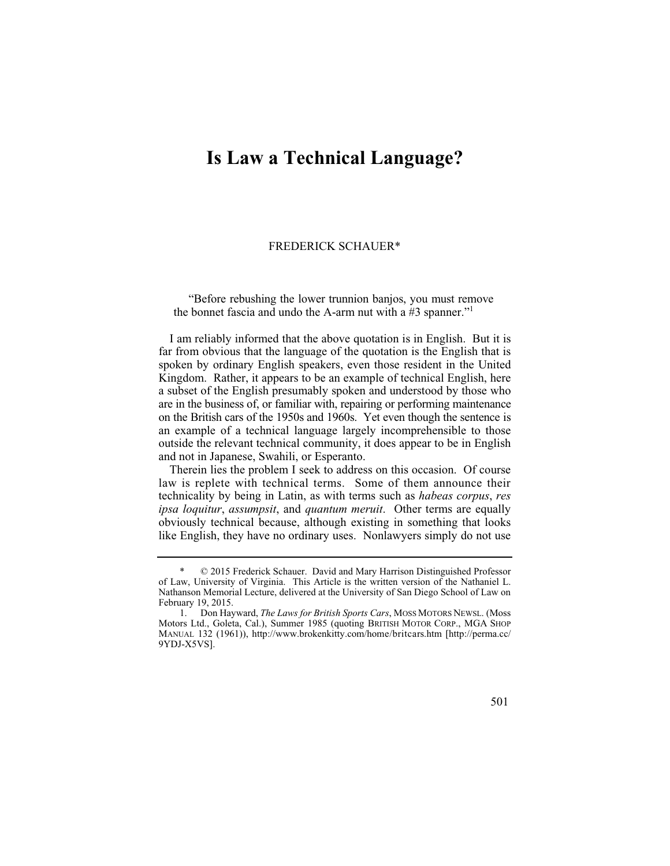## **Is Law a Technical Language?**

## FREDERICK SCHAUER\*

"Before rebushing the lower trunnion banjos, you must remove the bonnet fascia and undo the A-arm nut with a  $#3$  spanner."<sup>1</sup>

I am reliably informed that the above quotation is in English. But it is far from obvious that the language of the quotation is the English that is spoken by ordinary English speakers, even those resident in the United Kingdom. Rather, it appears to be an example of technical English, here a subset of the English presumably spoken and understood by those who are in the business of, or familiar with, repairing or performing maintenance on the British cars of the 1950s and 1960s. Yet even though the sentence is an example of a technical language largely incomprehensible to those outside the relevant technical community, it does appear to be in English and not in Japanese, Swahili, or Esperanto.

Therein lies the problem I seek to address on this occasion. Of course law is replete with technical terms. Some of them announce their technicality by being in Latin, as with terms such as *habeas corpus*, *res ipsa loquitur*, *assumpsit*, and *quantum meruit*. Other terms are equally obviously technical because, although existing in something that looks like English, they have no ordinary uses. Nonlawyers simply do not use



<sup>\* © 2015</sup> Frederick Schauer. David and Mary Harrison Distinguished Professor of Law, University of Virginia. This Article is the written version of the Nathaniel L. Nathanson Memorial Lecture, delivered at the University of San Diego School of Law on February 19, 2015.

<sup>1.</sup> Don Hayward, *The Laws for British Sports Cars*, MOSS MOTORS NEWSL. (Moss Motors Ltd., Goleta, Cal.), Summer 1985 (quoting BRITISH MOTOR CORP., MGA SHOP MANUAL 132 (1961)), http://www.brokenkitty.com/home/britcars.htm [http://perma.cc/ 9YDJ-X5VS].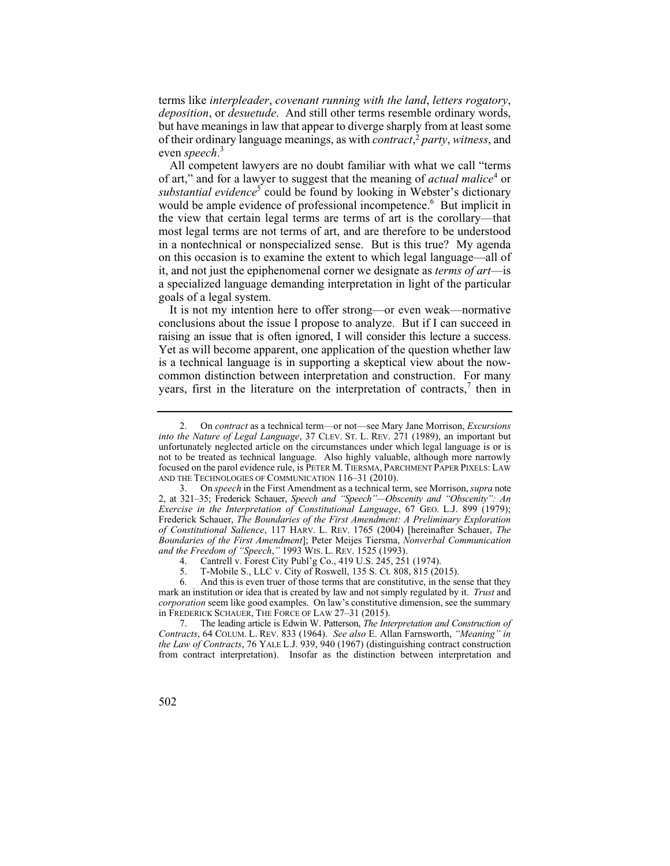terms like *interpleader*, *covenant running with the land*, *letters rogatory*, *deposition*, or *desuetude*. And still other terms resemble ordinary words, but have meanings in law that appear to diverge sharply from at least some of their ordinary language meanings, as with *contract*, <sup>2</sup>*party*, *witness*, and even *speech*. 3

All competent lawyers are no doubt familiar with what we call "terms of art," and for a lawyer to suggest that the meaning of *actual malice*<sup>4</sup> or substantial evidence<sup>5</sup> could be found by looking in Webster's dictionary would be ample evidence of professional incompetence.<sup>6</sup> But implicit in the view that certain legal terms are terms of art is the corollary—that most legal terms are not terms of art, and are therefore to be understood in a nontechnical or nonspecialized sense. But is this true? My agenda on this occasion is to examine the extent to which legal language—all of it, and not just the epiphenomenal corner we designate as *terms of art*—is a specialized language demanding interpretation in light of the particular goals of a legal system.

It is not my intention here to offer strong—or even weak—normative conclusions about the issue I propose to analyze. But if I can succeed in raising an issue that is often ignored, I will consider this lecture a success. Yet as will become apparent, one application of the question whether law is a technical language is in supporting a skeptical view about the nowcommon distinction between interpretation and construction. For many years, first in the literature on the interpretation of contracts, $\tau$  then in

<sup>2.</sup> On *contract* as a technical term—or not—see Mary Jane Morrison, *Excursions into the Nature of Legal Language*, 37 CLEV. ST. L. REV. 271 (1989), an important but unfortunately neglected article on the circumstances under which legal language is or is not to be treated as technical language. Also highly valuable, although more narrowly focused on the parol evidence rule, is PETER M. TIERSMA, PARCHMENT PAPER PIXELS: LAW AND THE TECHNOLOGIES OF COMMUNICATION 116–31 (2010).

 *Exercise in the Interpretation of Constitutional Language*, 67 GEO. L.J. 899 (1979); 3. On *speech* in the First Amendment as a technical term, see Morrison, *supra* note 2, at 321–35; Frederick Schauer, *Speech and "Speech"—Obscenity and "Obscenity": An*  Frederick Schauer, *The Boundaries of the First Amendment: A Preliminary Exploration of Constitutional Salience*, 117 HARV. L. REV. 1765 (2004) [hereinafter Schauer, *The Boundaries of the First Amendment*]; Peter Meijes Tiersma, *Nonverbal Communication and the Freedom of "Speech*,*"* 1993 WIS. L. REV. 1525 (1993).

<sup>4.</sup> Cantrell v. Forest City Publ'g Co., 419 U.S. 245, 251 (1974).

<sup>5.</sup> T-Mobile S., LLC v. City of Roswell, 135 S. Ct. 808, 815 (2015).

 6. And this is even truer of those terms that are constitutive, in the sense that they mark an institution or idea that is created by law and not simply regulated by it. *Trust* and *corporation* seem like good examples. On law's constitutive dimension, see the summary in FREDERICK SCHAUER, THE FORCE OF LAW 27–31 (2015).

<sup>7.</sup> The leading article is Edwin W. Patterson, *The Interpretation and Construction of Contracts*, 64 COLUM. L. REV. 833 (1964). *See also* E. Allan Farnsworth, *"Meaning" in the Law of Contracts*, 76 YALE L.J. 939, 940 (1967) (distinguishing contract construction from contract interpretation). Insofar as the distinction between interpretation and

<sup>502</sup>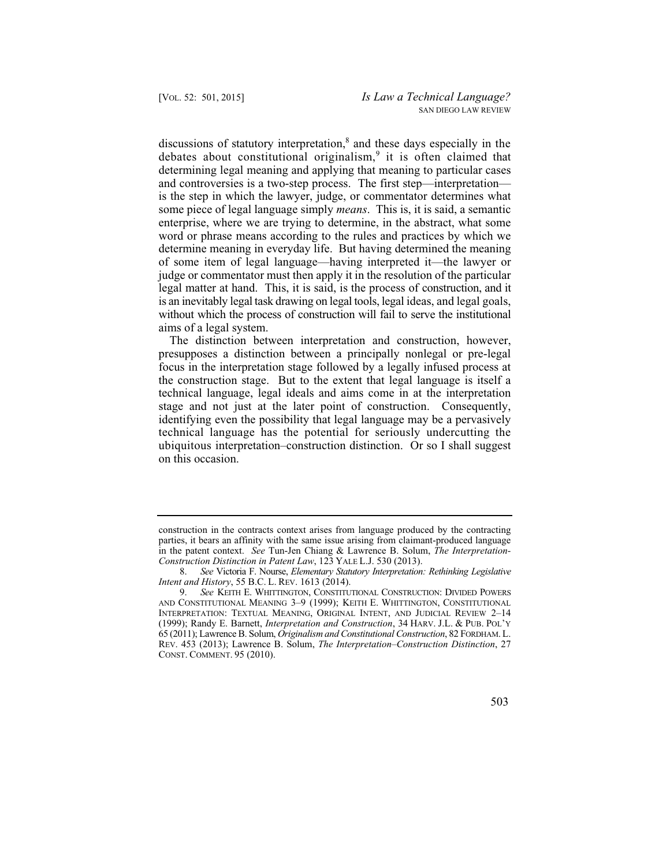debates about constitutional originalism,<sup>9</sup> it is often claimed that legal matter at hand. This, it is said, is the process of construction, and it is an inevitably legal task drawing on legal tools, legal ideas, and legal goals, discussions of statutory interpretation, $<sup>8</sup>$  and these days especially in the</sup> determining legal meaning and applying that meaning to particular cases and controversies is a two-step process. The first step—interpretation is the step in which the lawyer, judge, or commentator determines what some piece of legal language simply *means*. This is, it is said, a semantic enterprise, where we are trying to determine, in the abstract, what some word or phrase means according to the rules and practices by which we determine meaning in everyday life. But having determined the meaning of some item of legal language—having interpreted it—the lawyer or judge or commentator must then apply it in the resolution of the particular without which the process of construction will fail to serve the institutional aims of a legal system.

The distinction between interpretation and construction, however, presupposes a distinction between a principally nonlegal or pre-legal focus in the interpretation stage followed by a legally infused process at the construction stage. But to the extent that legal language is itself a technical language, legal ideals and aims come in at the interpretation stage and not just at the later point of construction. Consequently, identifying even the possibility that legal language may be a pervasively technical language has the potential for seriously undercutting the ubiquitous interpretation–construction distinction. Or so I shall suggest on this occasion.

<sup>9.</sup> *See* KEITH E. WHITTINGTON, CONSTITUTIONAL CONSTRUCTION: DIVIDED POWERS AND CONSTITUTIONAL MEANING 3–9 (1999); KEITH E. WHITTINGTON, CONSTITUTIONAL INTERPRETATION: TEXTUAL MEANING, ORIGINAL INTENT, AND JUDICIAL REVIEW 2–14 (1999); Randy E. Barnett, *Interpretation and Construction*, 34 HARV. J.L. & PUB. POL'Y 65 (2011); Lawrence B. Solum, *Originalism and Constitutional Construction*, 82 FORDHAM. L. REV. 453 (2013); Lawrence B. Solum, *The Interpretation–Construction Distinction*, 27 CONST. COMMENT. 95 (2010).



construction in the contracts context arises from language produced by the contracting parties, it bears an affinity with the same issue arising from claimant-produced language in the patent context. *See* Tun-Jen Chiang & Lawrence B. Solum, *The Interpretation-Construction Distinction in Patent Law*, 123 YALE L.J. 530 (2013).

<sup>8.</sup> *See* Victoria F. Nourse, *Elementary Statutory Interpretation: Rethinking Legislative Intent and History*, 55 B.C. L. REV. 1613 (2014).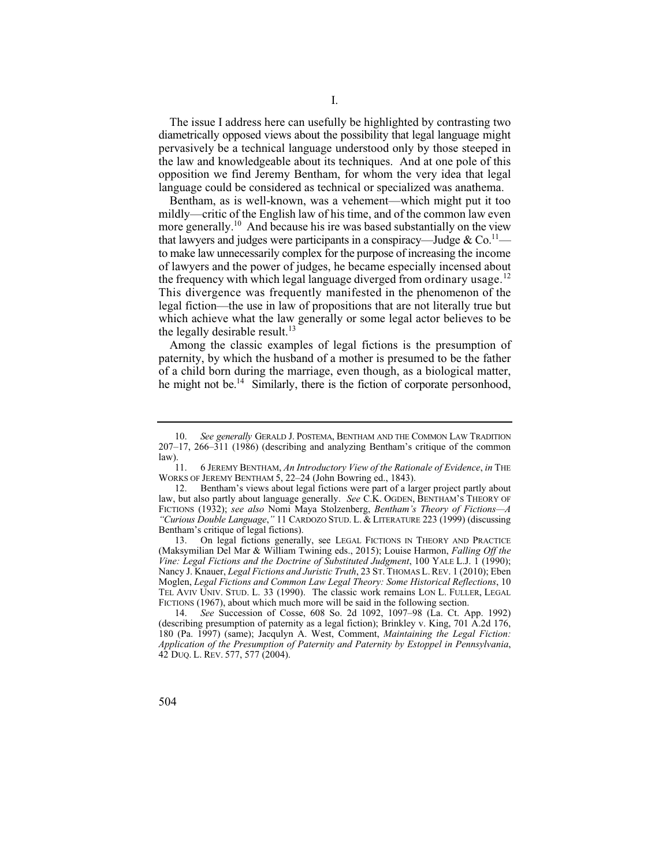The issue I address here can usefully be highlighted by contrasting two diametrically opposed views about the possibility that legal language might pervasively be a technical language understood only by those steeped in the law and knowledgeable about its techniques. And at one pole of this opposition we find Jeremy Bentham, for whom the very idea that legal language could be considered as technical or specialized was anathema.

more generally.<sup>10</sup> And because his ire was based substantially on the view to make law unnecessarily complex for the purpose of increasing the income Bentham, as is well-known, was a vehement—which might put it too mildly—critic of the English law of his time, and of the common law even that lawyers and judges were participants in a conspiracy—Judge & Co.<sup>11</sup> of lawyers and the power of judges, he became especially incensed about the frequency with which legal language diverged from ordinary usage.<sup>12</sup> This divergence was frequently manifested in the phenomenon of the legal fiction—the use in law of propositions that are not literally true but which achieve what the law generally or some legal actor believes to be the legally desirable result.<sup>13</sup>

he might not be.<sup>14</sup> Similarly, there is the fiction of corporate personhood, Among the classic examples of legal fictions is the presumption of paternity, by which the husband of a mother is presumed to be the father of a child born during the marriage, even though, as a biological matter,

 <sup>10.</sup> *See generally* GERALD J. POSTEMA, BENTHAM AND THE COMMON LAW TRADITION 207–17, 266–311 (1986) (describing and analyzing Bentham's critique of the common law).<br> $\frac{11}{11}$ .

<sup>11. 6</sup> JEREMY BENTHAM, *An Introductory View of the Rationale of Evidence*, *in* THE WORKS OF JEREMY BENTHAM 5, 22–24 (John Bowring ed., 1843).

<sup>12.</sup> Bentham's views about legal fictions were part of a larger project partly about law, but also partly about language generally. *See C.K. OGDEN, BENTHAM'S THEORY OF* FICTIONS (1932); *see also* Nomi Maya Stolzenberg, *Bentham's Theory of Fictions—A "Curious Double Language*,*"* 11 CARDOZO STUD. L. & LITERATURE 223 (1999) (discussing Bentham's critique of legal fictions).

<sup>13.</sup> On legal fictions generally, see LEGAL FICTIONS IN THEORY AND PRACTICE (Maksymilian Del Mar & William Twining eds., 2015); Louise Harmon, *Falling Off the Vine: Legal Fictions and the Doctrine of Substituted Judgment*, 100 YALE L.J. 1 (1990); Nancy J. Knauer, *Legal Fictions and Juristic Truth*, 23 ST. THOMAS L. REV. 1 (2010); Eben Moglen, *Legal Fictions and Common Law Legal Theory: Some Historical Reflections*, 10 TEL AVIV UNIV. STUD. L. 33 (1990). The classic work remains LON L. FULLER, LEGAL FICTIONS (1967), about which much more will be said in the following section.

<sup>14.</sup> *See* Succession of Cosse, 608 So. 2d 1092, 1097–98 (La. Ct. App. 1992) (describing presumption of paternity as a legal fiction); Brinkley v. King, 701 A.2d 176, 180 (Pa. 1997) (same); Jacqulyn A. West, Comment, *Maintaining the Legal Fiction: Application of the Presumption of Paternity and Paternity by Estoppel in Pennsylvania*, 42 DUQ. L. REV. 577, 577 (2004).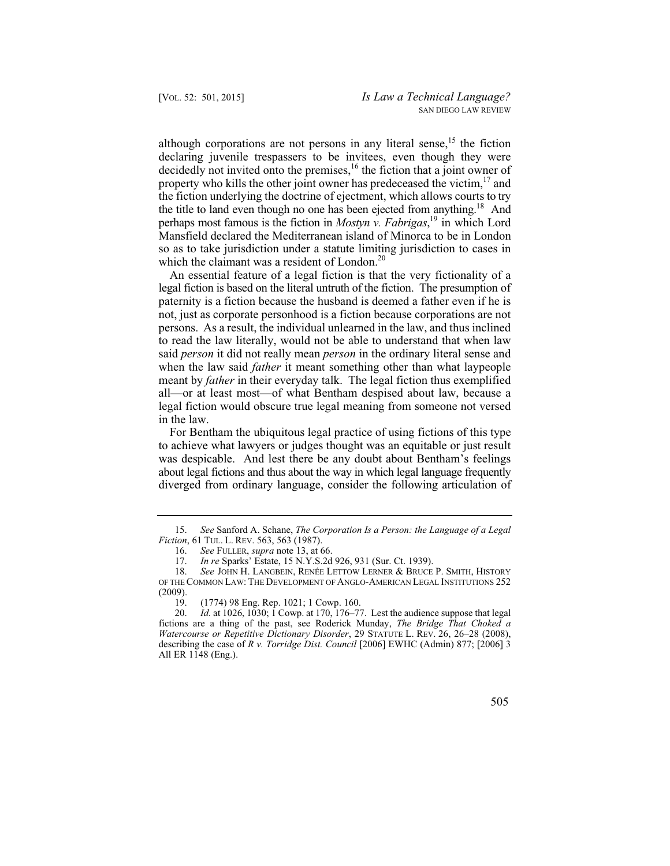the fiction underlying the doctrine of ejectment, which allows courts to try although corporations are not persons in any literal sense,  $15$  the fiction declaring juvenile trespassers to be invitees, even though they were decidedly not invited onto the premises,<sup>16</sup> the fiction that a joint owner of property who kills the other joint owner has predeceased the victim, $17$  and the title to land even though no one has been ejected from anything.<sup>18</sup> And perhaps most famous is the fiction in *Mostyn v. Fabrigas*, 19 in which Lord Mansfield declared the Mediterranean island of Minorca to be in London so as to take jurisdiction under a statute limiting jurisdiction to cases in which the claimant was a resident of London.<sup>20</sup>

An essential feature of a legal fiction is that the very fictionality of a legal fiction is based on the literal untruth of the fiction. The presumption of paternity is a fiction because the husband is deemed a father even if he is not, just as corporate personhood is a fiction because corporations are not persons. As a result, the individual unlearned in the law, and thus inclined to read the law literally, would not be able to understand that when law said *person* it did not really mean *person* in the ordinary literal sense and when the law said *father* it meant something other than what laypeople meant by *father* in their everyday talk. The legal fiction thus exemplified all—or at least most—of what Bentham despised about law, because a legal fiction would obscure true legal meaning from someone not versed in the law.

For Bentham the ubiquitous legal practice of using fictions of this type to achieve what lawyers or judges thought was an equitable or just result was despicable. And lest there be any doubt about Bentham's feelings about legal fictions and thus about the way in which legal language frequently diverged from ordinary language, consider the following articulation of

<sup>20.</sup> *Id.* at 1026, 1030; 1 Cowp. at 170, 176–77. Lest the audience suppose that legal fictions are a thing of the past, see Roderick Munday, *The Bridge That Choked a Watercourse or Repetitive Dictionary Disorder*, 29 STATUTE L. REV. 26, 26–28 (2008), describing the case of *R v. Torridge Dist. Council* [2006] EWHC (Admin) 877; [2006] 3 All ER 1148 (Eng.).



 <sup>15.</sup> *See* Sanford A. Schane, *The Corporation Is a Person: the Language of a Legal Fiction*, 61 TUL. L. REV. 563, 563 (1987).

<sup>16.</sup> *See* FULLER, *supra* note 13, at 66. 17. *In re* Sparks' Estate, 15 N.Y.S.2d 926, 931 (Sur. Ct. 1939).

<sup>18.</sup> *See* JOHN H. LANGBEIN, RENÉE LETTOW LERNER & BRUCE P. SMITH, HISTORY OF THE COMMON LAW: THE DEVELOPMENT OF ANGLO-AMERICAN LEGAL INSTITUTIONS 252  $(2009)$ .<br>19.

<sup>19. (1774) 98</sup> Eng. Rep. 1021; 1 Cowp. 160.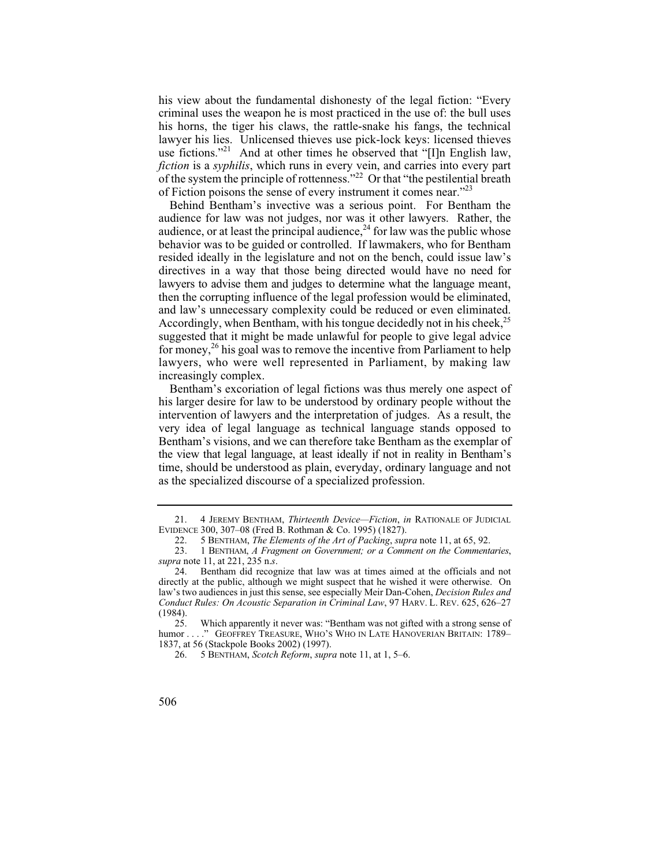his view about the fundamental dishonesty of the legal fiction: "Every criminal uses the weapon he is most practiced in the use of: the bull uses his horns, the tiger his claws, the rattle-snake his fangs, the technical lawyer his lies. Unlicensed thieves use pick-lock keys: licensed thieves use fictions."<sup>21</sup> And at other times he observed that "[I]n English law, *fiction* is a *syphilis*, which runs in every vein, and carries into every part of the system the principle of rottenness."22 Or that "the pestilential breath of Fiction poisons the sense of every instrument it comes near."23

 directives in a way that those being directed would have no need for lawyers to advise them and judges to determine what the language meant, Behind Bentham's invective was a serious point. For Bentham the audience for law was not judges, nor was it other lawyers. Rather, the audience, or at least the principal audience,  $^{24}$  for law was the public whose behavior was to be guided or controlled. If lawmakers, who for Bentham resided ideally in the legislature and not on the bench, could issue law's then the corrupting influence of the legal profession would be eliminated, and law's unnecessary complexity could be reduced or even eliminated. Accordingly, when Bentham, with his tongue decidedly not in his cheek.<sup>25</sup> suggested that it might be made unlawful for people to give legal advice for money,<sup>26</sup> his goal was to remove the incentive from Parliament to help lawyers, who were well represented in Parliament, by making law increasingly complex.

Bentham's excoriation of legal fictions was thus merely one aspect of his larger desire for law to be understood by ordinary people without the intervention of lawyers and the interpretation of judges. As a result, the very idea of legal language as technical language stands opposed to Bentham's visions, and we can therefore take Bentham as the exemplar of the view that legal language, at least ideally if not in reality in Bentham's time, should be understood as plain, everyday, ordinary language and not as the specialized discourse of a specialized profession.

<sup>21. 4</sup> JEREMY BENTHAM, *Thirteenth Device—Fiction*, *in* RATIONALE OF JUDICIAL EVIDENCE 300, 307–08 (Fred B. Rothman & Co. 1995) (1827).

<sup>22. 5</sup> BENTHAM, *The Elements of the Art of Packing*, *supra* note 11, at 65, 92.

 23. 1 BENTHAM, *A Fragment on Government; or a Comment on the Commentaries*, *supra* note 11, at 221, 235 n.*s*.

<sup>24.</sup> Bentham did recognize that law was at times aimed at the officials and not directly at the public, although we might suspect that he wished it were otherwise. On law's two audiences in just this sense, see especially Meir Dan-Cohen, *Decision Rules and Conduct Rules: On Acoustic Separation in Criminal Law*, 97 HARV. L. REV. 625, 626–27  $(1984)$ .<br>25.

Which apparently it never was: "Bentham was not gifted with a strong sense of humor . . . ." GEOFFREY TREASURE, WHO'S WHO IN LATE HANOVERIAN BRITAIN: 1789– 1837, at 56 (Stackpole Books 2002) (1997).

<sup>26. 5</sup> BENTHAM, *Scotch Reform*, *supra* note 11, at 1, 5–6.

<sup>506</sup>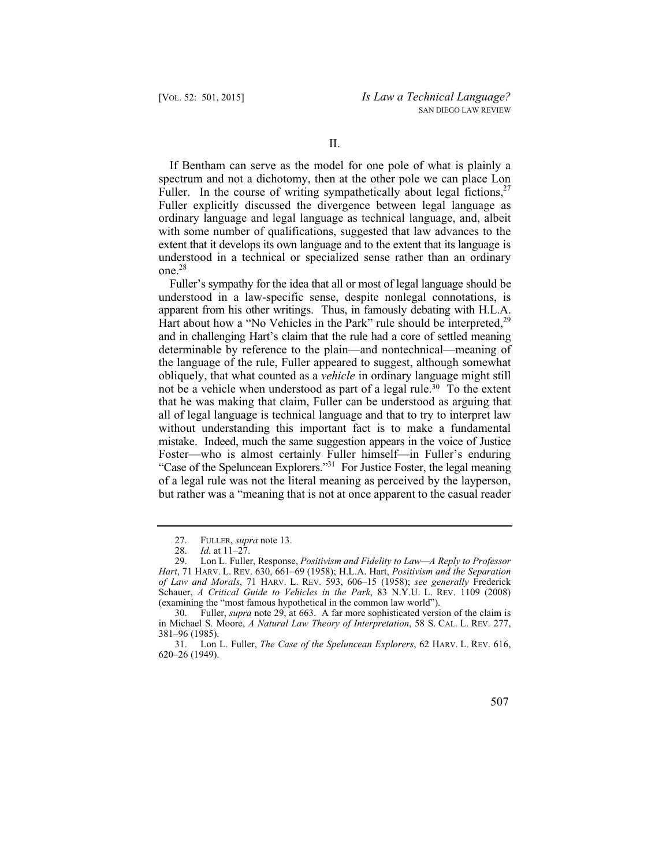If Bentham can serve as the model for one pole of what is plainly a spectrum and not a dichotomy, then at the other pole we can place Lon Fuller. In the course of writing sympathetically about legal fictions.<sup>27</sup> Fuller explicitly discussed the divergence between legal language as ordinary language and legal language as technical language, and, albeit with some number of qualifications, suggested that law advances to the extent that it develops its own language and to the extent that its language is understood in a technical or specialized sense rather than an ordinary  $one.<sup>28</sup>$ 

Fuller's sympathy for the idea that all or most of legal language should be understood in a law-specific sense, despite nonlegal connotations, is apparent from his other writings. Thus, in famously debating with H.L.A. Hart about how a "No Vehicles in the Park" rule should be interpreted,<sup>29</sup> and in challenging Hart's claim that the rule had a core of settled meaning determinable by reference to the plain—and nontechnical—meaning of the language of the rule, Fuller appeared to suggest, although somewhat obliquely, that what counted as a *vehicle* in ordinary language might still not be a vehicle when understood as part of a legal rule.<sup>30</sup> To the extent that he was making that claim, Fuller can be understood as arguing that all of legal language is technical language and that to try to interpret law without understanding this important fact is to make a fundamental mistake. Indeed, much the same suggestion appears in the voice of Justice Foster—who is almost certainly Fuller himself—in Fuller's enduring "Case of the Speluncean Explorers."31 For Justice Foster, the legal meaning of a legal rule was not the literal meaning as perceived by the layperson, but rather was a "meaning that is not at once apparent to the casual reader

<sup>31.</sup> Lon L. Fuller, *The Case of the Speluncean Explorers*, 62 HARV. L. REV. 616, 620–26 (1949).



 <sup>27.</sup> FULLER, *supra* note 13.

<sup>28.</sup> *Id.* at 11–27.<br>29. Lon L. Fuller

<sup>29.</sup> Lon L. Fuller, Response, *Positivism and Fidelity to Law—A Reply to Professor Hart*, 71 HARV. L. REV. 630, 661–69 (1958); H.L.A. Hart, *Positivism and the Separation of Law and Morals*, 71 HARV. L. REV. 593, 606–15 (1958); *see generally* Frederick Schauer, *A Critical Guide to Vehicles in the Park*, 83 N.Y.U. L. REV. 1109 (2008) (examining the "most famous hypothetical in the common law world").

<sup>30.</sup> Fuller, *supra* note 29, at 663. A far more sophisticated version of the claim is in Michael S. Moore, *A Natural Law Theory of Interpretation*, 58 S. CAL. L. REV. 277, 381–96 (1985).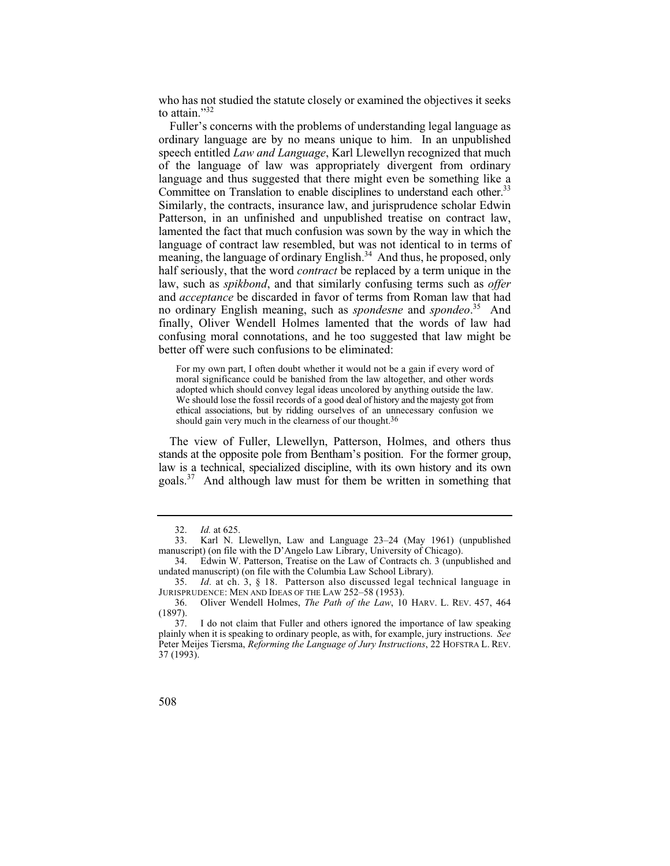who has not studied the statute closely or examined the objectives it seeks to attain."32

Fuller's concerns with the problems of understanding legal language as ordinary language are by no means unique to him. In an unpublished speech entitled *Law and Language*, Karl Llewellyn recognized that much of the language of law was appropriately divergent from ordinary language and thus suggested that there might even be something like a Committee on Translation to enable disciplines to understand each other.<sup>33</sup> Similarly, the contracts, insurance law, and jurisprudence scholar Edwin Patterson, in an unfinished and unpublished treatise on contract law, lamented the fact that much confusion was sown by the way in which the language of contract law resembled, but was not identical to in terms of meaning, the language of ordinary English.<sup>34</sup> And thus, he proposed, only half seriously, that the word *contract* be replaced by a term unique in the law, such as *spikbond*, and that similarly confusing terms such as *offer*  and *acceptance* be discarded in favor of terms from Roman law that had no ordinary English meaning, such as *spondesne* and *spondeo*. 35 And finally, Oliver Wendell Holmes lamented that the words of law had confusing moral connotations, and he too suggested that law might be better off were such confusions to be eliminated:

 adopted which should convey legal ideas uncolored by anything outside the law. We should lose the fossil records of a good deal of history and the majesty got from ethical associations, but by ridding ourselves of an unnecessary confusion we For my own part, I often doubt whether it would not be a gain if every word of moral significance could be banished from the law altogether, and other words should gain very much in the clearness of our thought.<sup>36</sup>

The view of Fuller, Llewellyn, Patterson, Holmes, and others thus stands at the opposite pole from Bentham's position. For the former group, law is a technical, specialized discipline, with its own history and its own goals.37 And although law must for them be written in something that

 <sup>32.</sup> *Id.* at 625.

<sup>33.</sup> Karl N. Llewellyn, Law and Language 23–24 (May 1961) (unpublished manuscript) (on file with the D'Angelo Law Library, University of Chicago).

<sup>34.</sup> Edwin W. Patterson, Treatise on the Law of Contracts ch. 3 (unpublished and undated manuscript) (on file with the Columbia Law School Library).

<sup>35.</sup> *Id.* at ch. 3, § 18. Patterson also discussed legal technical language in JURISPRUDENCE: MEN AND IDEAS OF THE LAW 252–58 (1953).<br>36. Oliver Wendell Holmes, *The Path of the Law*, 10

<sup>36.</sup> Oliver Wendell Holmes, *The Path of the Law*, 10 HARV. L. REV. 457, 464 (1897).

<sup>37.</sup> I do not claim that Fuller and others ignored the importance of law speaking plainly when it is speaking to ordinary people, as with, for example, jury instructions. *See*  Peter Meijes Tiersma, *Reforming the Language of Jury Instructions*, 22 HOFSTRA L. REV. 37 (1993).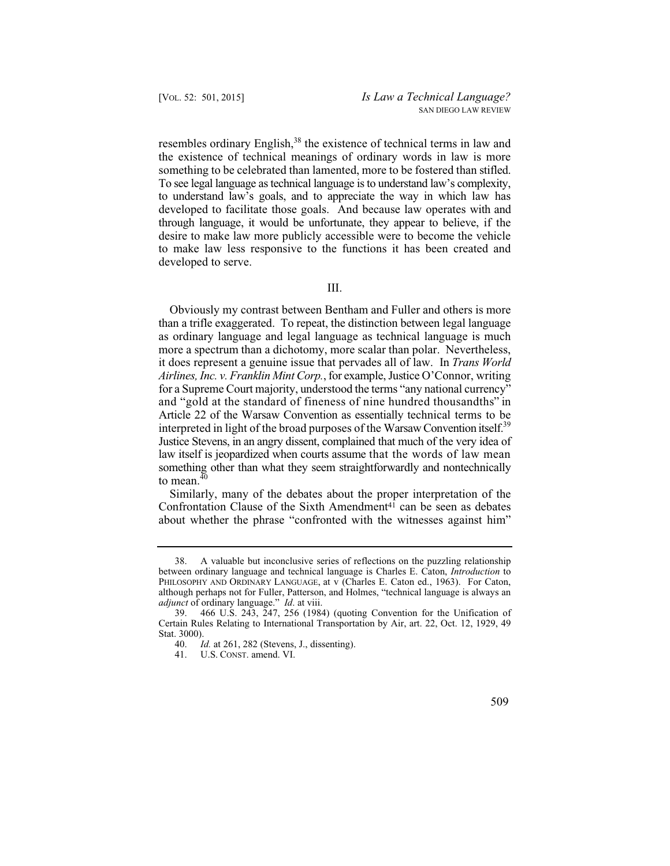something to be celebrated than lamented, more to be fostered than stifled. to understand law's goals, and to appreciate the way in which law has developed to facilitate those goals. And because law operates with and through language, it would be unfortunate, they appear to believe, if the resembles ordinary English,<sup>38</sup> the existence of technical terms in law and the existence of technical meanings of ordinary words in law is more To see legal language as technical language is to understand law's complexity, desire to make law more publicly accessible were to become the vehicle to make law less responsive to the functions it has been created and developed to serve.

III.

 and "gold at the standard of fineness of nine hundred thousandths" in Article 22 of the Warsaw Convention as essentially technical terms to be Justice Stevens, in an angry dissent, complained that much of the very idea of law itself is jeopardized when courts assume that the words of law mean Obviously my contrast between Bentham and Fuller and others is more than a trifle exaggerated. To repeat, the distinction between legal language as ordinary language and legal language as technical language is much more a spectrum than a dichotomy, more scalar than polar. Nevertheless, it does represent a genuine issue that pervades all of law. In *Trans World Airlines, Inc. v. Franklin Mint Corp.*, for example, Justice O'Connor, writing for a Supreme Court majority, understood the terms "any national currency" interpreted in light of the broad purposes of the Warsaw Convention itself.<sup>39</sup> something other than what they seem straightforwardly and nontechnically to mean. $40$ 

Similarly, many of the debates about the proper interpretation of the Confrontation Clause of the Sixth Amendment $4<sup>1</sup>$  can be seen as debates about whether the phrase "confronted with the witnesses against him"

U.S. CONST. amend. VI.



<sup>38.</sup> A valuable but inconclusive series of reflections on the puzzling relationship between ordinary language and technical language is Charles E. Caton, *Introduction* to PHILOSOPHY AND ORDINARY LANGUAGE, at v (Charles E. Caton ed., 1963). For Caton, although perhaps not for Fuller, Patterson, and Holmes, "technical language is always an *adjunct* of ordinary language." *Id*. at viii.

<sup>39. 466</sup> U.S. 243, 247, 256 (1984) (quoting Convention for the Unification of Certain Rules Relating to International Transportation by Air, art. 22, Oct. 12, 1929, 49 Stat. 3000).<br>40.  $I_0$ 

<sup>40.</sup> *Id.* at 261, 282 (Stevens, J., dissenting).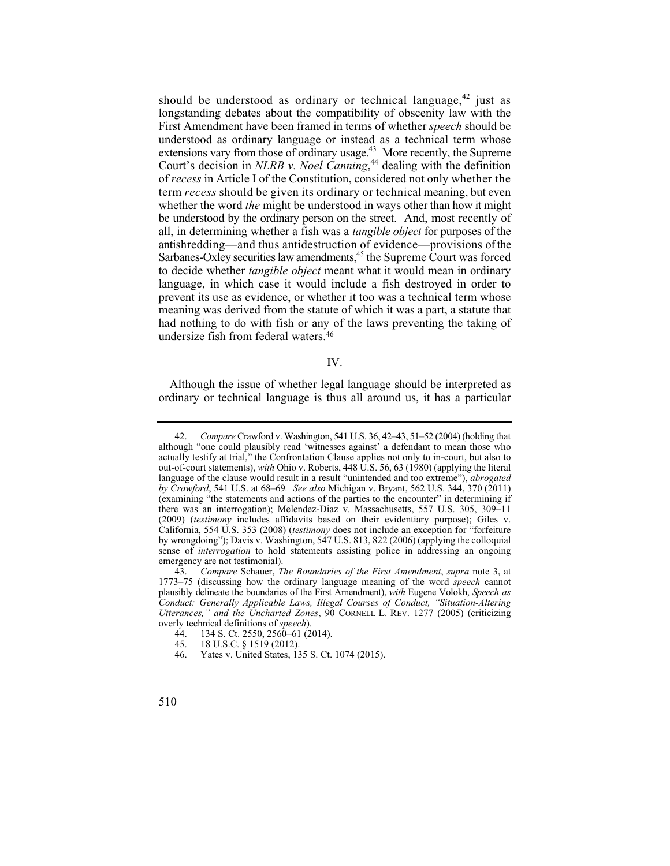extensions vary from those of ordinary usage.<sup>43</sup> More recently, the Supreme of *recess* in Article I of the Constitution, considered not only whether the term *recess* should be given its ordinary or technical meaning, but even whether the word *the* might be understood in ways other than how it might be understood by the ordinary person on the street. And, most recently of antishredding—and thus antidestruction of evidence—provisions of the should be understood as ordinary or technical language.<sup>42</sup> just as longstanding debates about the compatibility of obscenity law with the First Amendment have been framed in terms of whether *speech* should be understood as ordinary language or instead as a technical term whose Court's decision in *NLRB v. Noel Canning*, 44 dealing with the definition all, in determining whether a fish was a *tangible object* for purposes of the Sarbanes-Oxley securities law amendments, <sup>45</sup> the Supreme Court was forced to decide whether *tangible object* meant what it would mean in ordinary language, in which case it would include a fish destroyed in order to prevent its use as evidence, or whether it too was a technical term whose meaning was derived from the statute of which it was a part, a statute that had nothing to do with fish or any of the laws preventing the taking of undersize fish from federal waters.46

IV.

Although the issue of whether legal language should be interpreted as ordinary or technical language is thus all around us, it has a particular

 42. *Compare* Crawford v. Washington, 541 U.S. 36, 42–43, 51–52 (2004) (holding that *by Crawford*, 541 U.S. at 68–69*. See also* Michigan v. Bryant, 562 U.S. 344, 370 (2011) although "one could plausibly read 'witnesses against' a defendant to mean those who actually testify at trial," the Confrontation Clause applies not only to in-court, but also to out-of-court statements), *with* Ohio v. Roberts, 448 U.S. 56, 63 (1980) (applying the literal language of the clause would result in a result "unintended and too extreme"), *abrogated*  (examining "the statements and actions of the parties to the encounter" in determining if there was an interrogation); Melendez-Diaz v. Massachusetts, 557 U.S. 305, 309–11 (2009) (*testimony* includes affidavits based on their evidentiary purpose); Giles v. California, 554 U.S. 353 (2008) (*testimony* does not include an exception for "forfeiture by wrongdoing"); Davis v. Washington, 547 U.S. 813, 822 (2006) (applying the colloquial sense of *interrogation* to hold statements assisting police in addressing an ongoing emergency are not testimonial).

 <sup>43.</sup> *Compare* Schauer, *The Boundaries of the First Amendment*, *supra* note 3, at 1773–75 (discussing how the ordinary language meaning of the word *speech* cannot plausibly delineate the boundaries of the First Amendment), *with* Eugene Volokh, *Speech as Conduct: Generally Applicable Laws, Illegal Courses of Conduct, "Situation-Altering Utterances," and the Uncharted Zones*, 90 CORNELL L. REV. 1277 (2005) (criticizing overly technical definitions of *speech*).

<sup>44. 134</sup> S. Ct. 2550, 2560–61 (2014).<br>45. 18 U.S.C. § 1519 (2012).

<sup>45. 18</sup> U.S.C. § 1519 (2012).<br>46. Yates v. United States. 13

Yates v. United States, 135 S. Ct. 1074 (2015).

<sup>510</sup>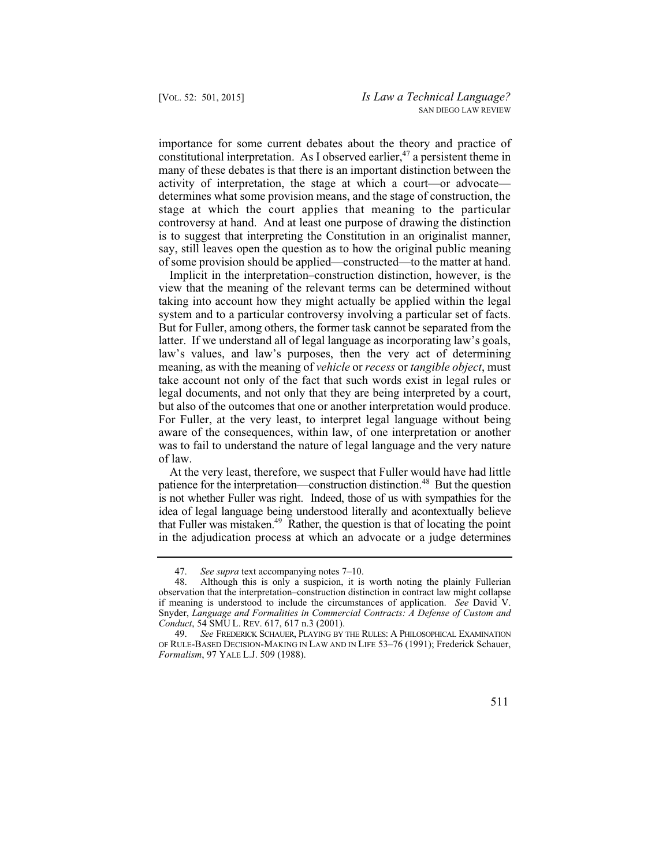importance for some current debates about the theory and practice of constitutional interpretation. As I observed earlier,  $47$  a persistent theme in many of these debates is that there is an important distinction between the activity of interpretation, the stage at which a court—or advocate determines what some provision means, and the stage of construction, the stage at which the court applies that meaning to the particular controversy at hand. And at least one purpose of drawing the distinction is to suggest that interpreting the Constitution in an originalist manner, say, still leaves open the question as to how the original public meaning of some provision should be applied—constructed—to the matter at hand.

Implicit in the interpretation–construction distinction, however, is the view that the meaning of the relevant terms can be determined without taking into account how they might actually be applied within the legal system and to a particular controversy involving a particular set of facts. But for Fuller, among others, the former task cannot be separated from the latter. If we understand all of legal language as incorporating law's goals, law's values, and law's purposes, then the very act of determining meaning, as with the meaning of *vehicle* or *recess* or *tangible object*, must take account not only of the fact that such words exist in legal rules or legal documents, and not only that they are being interpreted by a court, but also of the outcomes that one or another interpretation would produce. For Fuller, at the very least, to interpret legal language without being aware of the consequences, within law, of one interpretation or another was to fail to understand the nature of legal language and the very nature of law.

that Fuller was mistaken.<sup>49</sup> Rather, the question is that of locating the point At the very least, therefore, we suspect that Fuller would have had little patience for the interpretation—construction distinction.<sup>48</sup> But the question is not whether Fuller was right. Indeed, those of us with sympathies for the idea of legal language being understood literally and acontextually believe in the adjudication process at which an advocate or a judge determines

<sup>49.</sup> *See* FREDERICK SCHAUER, PLAYING BY THE RULES:APHILOSOPHICAL EXAMINATION OF RULE-BASED DECISION-MAKING IN LAW AND IN LIFE 53–76 (1991); Frederick Schauer, *Formalism*, 97 YALE L.J. 509 (1988).



 <sup>47.</sup> *See supra* text accompanying notes 7–10.

<sup>48.</sup> Although this is only a suspicion, it is worth noting the plainly Fullerian observation that the interpretation–construction distinction in contract law might collapse if meaning is understood to include the circumstances of application. *See* David V. Snyder, *Language and Formalities in Commercial Contracts: A Defense of Custom and Conduct*, 54 SMU L. REV. 617, 617 n.3 (2001).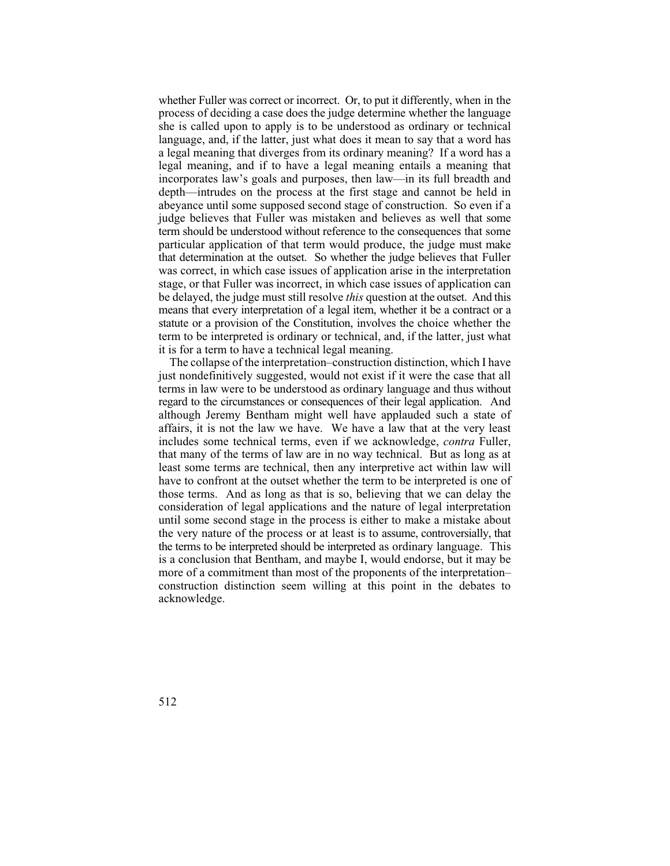whether Fuller was correct or incorrect. Or, to put it differently, when in the judge believes that Fuller was mistaken and believes as well that some term should be understood without reference to the consequences that some particular application of that term would produce, the judge must make that determination at the outset. So whether the judge believes that Fuller be delayed, the judge must still resolve *this* question at the outset. And this statute or a provision of the Constitution, involves the choice whether the process of deciding a case does the judge determine whether the language she is called upon to apply is to be understood as ordinary or technical language, and, if the latter, just what does it mean to say that a word has a legal meaning that diverges from its ordinary meaning? If a word has a legal meaning, and if to have a legal meaning entails a meaning that incorporates law's goals and purposes, then law—in its full breadth and depth—intrudes on the process at the first stage and cannot be held in abeyance until some supposed second stage of construction. So even if a was correct, in which case issues of application arise in the interpretation stage, or that Fuller was incorrect, in which case issues of application can means that every interpretation of a legal item, whether it be a contract or a term to be interpreted is ordinary or technical, and, if the latter, just what it is for a term to have a technical legal meaning.

 regard to the circumstances or consequences of their legal application. And the terms to be interpreted should be interpreted as ordinary language. This The collapse of the interpretation–construction distinction, which I have just nondefinitively suggested, would not exist if it were the case that all terms in law were to be understood as ordinary language and thus without although Jeremy Bentham might well have applauded such a state of affairs, it is not the law we have. We have a law that at the very least includes some technical terms, even if we acknowledge, *contra* Fuller, that many of the terms of law are in no way technical. But as long as at least some terms are technical, then any interpretive act within law will have to confront at the outset whether the term to be interpreted is one of those terms. And as long as that is so, believing that we can delay the consideration of legal applications and the nature of legal interpretation until some second stage in the process is either to make a mistake about the very nature of the process or at least is to assume, controversially, that is a conclusion that Bentham, and maybe I, would endorse, but it may be more of a commitment than most of the proponents of the interpretation– construction distinction seem willing at this point in the debates to acknowledge.